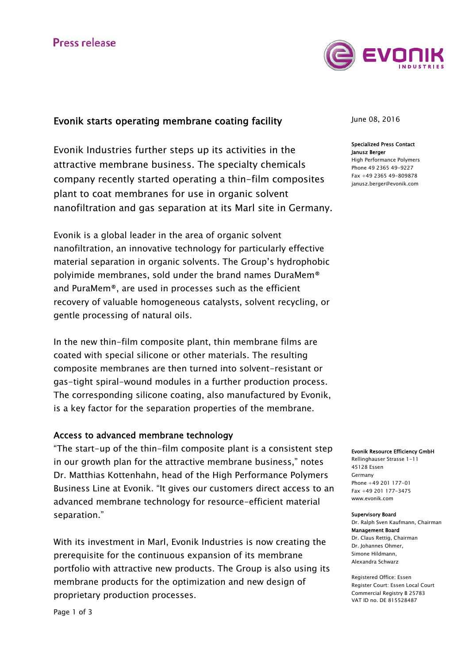

## Evonik starts operating membrane coating facility

Evonik Industries further steps up its activities in the attractive membrane business. The specialty chemicals company recently started operating a thin-film composites plant to coat membranes for use in organic solvent nanofiltration and gas separation at its Marl site in Germany.

Evonik is a global leader in the area of organic solvent nanofiltration, an innovative technology for particularly effective material separation in organic solvents. The Group's hydrophobic polyimide membranes, sold under the brand names DuraMem® and PuraMem®, are used in processes such as the efficient recovery of valuable homogeneous catalysts, solvent recycling, or gentle processing of natural oils.

In the new thin-film composite plant, thin membrane films are coated with special silicone or other materials. The resulting composite membranes are then turned into solvent-resistant or gas-tight spiral-wound modules in a further production process. The corresponding silicone coating, also manufactured by Evonik, is a key factor for the separation properties of the membrane.

### Access to advanced membrane technology

"The start-up of the thin-film composite plant is a consistent step in our growth plan for the attractive membrane business," notes Dr. Matthias Kottenhahn, head of the High Performance Polymers Business Line at Evonik. "It gives our customers direct access to an advanced membrane technology for resource-efficient material separation."

With its investment in Marl, Evonik Industries is now creating the prerequisite for the continuous expansion of its membrane portfolio with attractive new products. The Group is also using its membrane products for the optimization and new design of proprietary production processes.

June 08, 2016

### Specialized Press Contact Janusz Berger

High Performance Polymers Phone 49 2365 49-9227 Fax +49 2365 49-809878 janusz.berger@evonik.com

### Evonik Resource Efficiency GmbH

Rellinghauser Strasse 1-11 45128 Essen Germany Phone +49 201 177-01 Fax +49 201 177-3475 www.evonik.com

#### Supervisory Board

Dr. Ralph Sven Kaufmann, Chairman Management Board Dr. Claus Rettig, Chairman Dr. Johannes Ohmer, Simone Hildmann, Alexandra Schwarz

Registered Office: Essen Register Court: Essen Local Court Commercial Registry B 25783 VAT ID no. DE 815528487

Page 1 of 3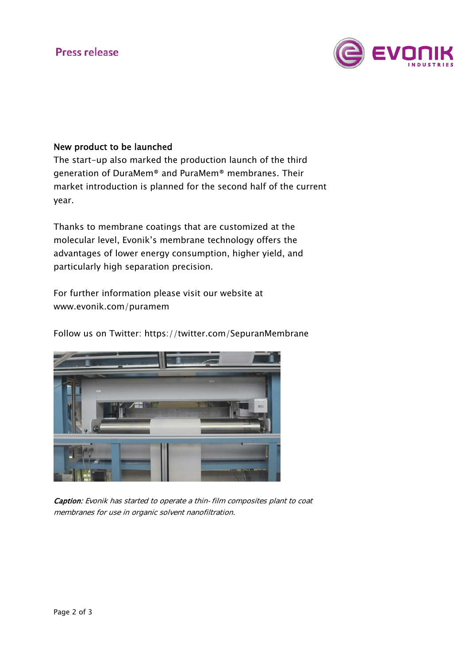

### New product to be launched

The start-up also marked the production launch of the third generation of DuraMem® and PuraMem® membranes. Their market introduction is planned for the second half of the current year.

Thanks to membrane coatings that are customized at the molecular level, Evonik's membrane technology offers the advantages of lower energy consumption, higher yield, and particularly high separation precision.

For further information please visit our website at www.evonik.com/puramem

Follow us on Twitter: https://twitter.com/SepuranMembrane



Caption: Evonik has started to operate a thin-film composites plant to coat membranes for use in organic solvent nanofiltration.